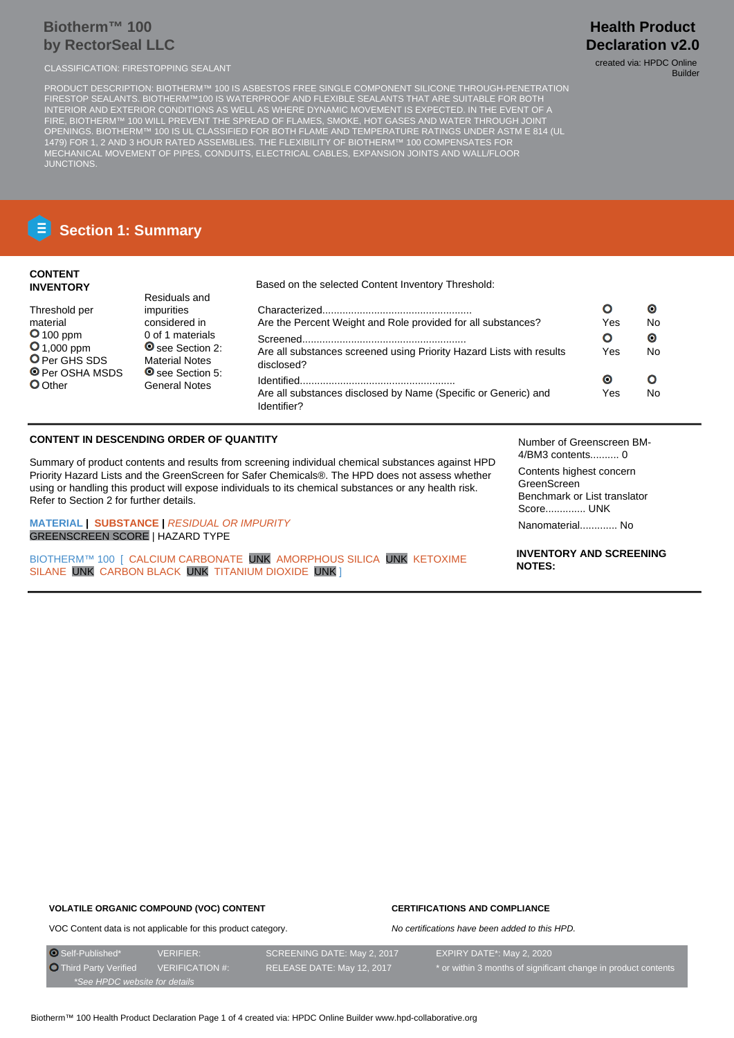# **Biotherm™ 100 by RectorSeal LLC**

CLASSIFICATION: FIRESTOPPING SEALANT CLASSIFICATION: FIRESTOPPING SEALANT

PRODUCT DESCRIPTION: BIOTHERM™ 100 IS ASBESTOS FREE SINGLE COMPONENT SILICONE THROUGH-PENETRATION FIRESTOP SEALANTS. BIOTHERM™100 IS WATERPROOF AND FLEXIBLE SEALANTS THAT ARE SUITABLE FOR BOTH INTERIOR AND EXTERIOR CONDITIONS AS WELL AS WHERE DYNAMIC MOVEMENT IS EXPECTED. IN THE EVENT OF A FIRE, BIOTHERM™ 100 WILL PREVENT THE SPREAD OF FLAMES, SMOKE, HOT GASES AND WATER THROUGH JOINT OPENINGS. BIOTHERM™ 100 IS UL CLASSIFIED FOR BOTH FLAME AND TEMPERATURE RATINGS UNDER ASTM E 814 (UL 1479) FOR 1, 2 AND 3 HOUR RATED ASSEMBLIES. THE FLEXIBILITY OF BIOTHERM™ 100 COMPENSATES FOR MECHANICAL MOVEMENT OF PIPES, CONDUITS, ELECTRICAL CABLES, EXPANSION JOINTS AND WALL/FLOOR JUNCTIONS.

# **Section 1: Summary**

### **CONTENT INVENTORY**

Threshold per material **O** 100 ppm **0**1,000 ppm **O** Per GHS SDS O Per OSHA MSDS O Other

Residuals and impurities considered in 0 of 1 materials O see Section 2: Material Notes O see Section 5: General Notes

Based on the selected Content Inventory Threshold:

|                                                                                    |     | О         |
|------------------------------------------------------------------------------------|-----|-----------|
| Are the Percent Weight and Role provided for all substances?                       | Yes | No        |
|                                                                                    | О   | $\bullet$ |
| Are all substances screened using Priority Hazard Lists with results<br>disclosed? | Yes | Nο        |
|                                                                                    | O   |           |
| Are all substances disclosed by Name (Specific or Generic) and<br>Identifier?      | Yes | Nο        |

## **CONTENT IN DESCENDING ORDER OF QUANTITY**

Summary of product contents and results from screening individual chemical substances against HPD Priority Hazard Lists and the GreenScreen for Safer Chemicals®. The HPD does not assess whether using or handling this product will expose individuals to its chemical substances or any health risk. Refer to Section 2 for further details.

**MATERIAL | SUBSTANCE |** RESIDUAL OR IMPURITY GREENSCREEN SCORE | HAZARD TYPE

BIOTHERM™ 100 [ CALCIUM CARBONATE UNK AMORPHOUS SILICA UNK KETOXIME SILANE UNK CARBON BLACK UNK TITANIUM DIOXIDE UNK ]

Number of Greenscreen BM-4/BM3 contents.......... 0

Contents highest concern GreenScreen Benchmark or List translator Score.............. UNK Nanomaterial............. No

**INVENTORY AND SCREENING NOTES:**

# **VOLATILE ORGANIC COMPOUND (VOC) CONTENT**

# **CERTIFICATIONS AND COMPLIANCE**

No certifications have been added to this HPD.

VOC Content data is not applicable for this product category.

O Self-Published\* VERIFIER: SCREENING DATE: May 2, 2017 EXPIRY DATE\*: May 2, 2020 O Third Party Verified VERIFICATION #: RELEASE DATE: May 12, 2017 \* or within 3 months of significant change in product contents \*See HPDC website for details

# **Health Product Declaration v2.0**

Builder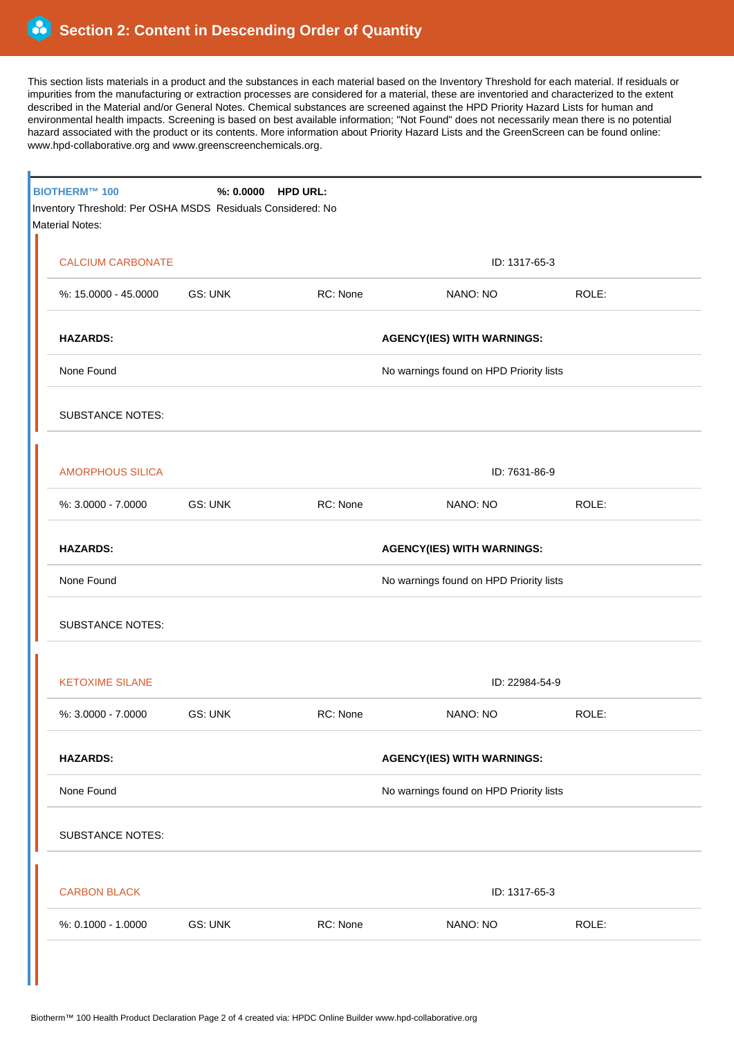This section lists materials in a product and the substances in each material based on the Inventory Threshold for each material. If residuals or impurities from the manufacturing or extraction processes are considered for a material, these are inventoried and characterized to the extent described in the Material and/or General Notes. Chemical substances are screened against the HPD Priority Hazard Lists for human and environmental health impacts. Screening is based on best available information; "Not Found" does not necessarily mean there is no potential hazard associated with the product or its contents. More information about Priority Hazard Lists and the GreenScreen can be found online: www.hpd-collaborative.org and www.greenscreenchemicals.org.

| <b>BIOTHERM™ 100</b><br>Inventory Threshold: Per OSHA MSDS Residuals Considered: No<br><b>Material Notes:</b> |                | %: 0.0000 HPD URL: |                                         |       |  |
|---------------------------------------------------------------------------------------------------------------|----------------|--------------------|-----------------------------------------|-------|--|
| <b>CALCIUM CARBONATE</b>                                                                                      |                |                    | ID: 1317-65-3                           |       |  |
| %: 15.0000 - 45.0000                                                                                          | GS: UNK        | RC: None           | NANO: NO                                | ROLE: |  |
| <b>HAZARDS:</b>                                                                                               |                |                    | <b>AGENCY(IES) WITH WARNINGS:</b>       |       |  |
| None Found                                                                                                    |                |                    | No warnings found on HPD Priority lists |       |  |
| <b>SUBSTANCE NOTES:</b>                                                                                       |                |                    |                                         |       |  |
| <b>AMORPHOUS SILICA</b>                                                                                       |                |                    | ID: 7631-86-9                           |       |  |
| %: 3.0000 - 7.0000                                                                                            | <b>GS: UNK</b> | RC: None           | NANO: NO                                | ROLE: |  |
| <b>HAZARDS:</b>                                                                                               |                |                    | <b>AGENCY(IES) WITH WARNINGS:</b>       |       |  |
| None Found                                                                                                    |                |                    | No warnings found on HPD Priority lists |       |  |
| <b>SUBSTANCE NOTES:</b>                                                                                       |                |                    |                                         |       |  |
| <b>KETOXIME SILANE</b>                                                                                        |                |                    | ID: 22984-54-9                          |       |  |
| %: 3.0000 - 7.0000                                                                                            | <b>GS: UNK</b> | RC: None           | NANO: NO                                | ROLE: |  |
| <b>HAZARDS:</b>                                                                                               |                |                    | <b>AGENCY(IES) WITH WARNINGS:</b>       |       |  |
| None Found<br>No warnings found on HPD Priority lists                                                         |                |                    |                                         |       |  |
| <b>SUBSTANCE NOTES:</b>                                                                                       |                |                    |                                         |       |  |
| <b>CARBON BLACK</b><br>ID: 1317-65-3                                                                          |                |                    |                                         |       |  |
| %: 0.1000 - 1.0000                                                                                            | GS: UNK        | RC: None           | NANO: NO                                | ROLE: |  |
|                                                                                                               |                |                    |                                         |       |  |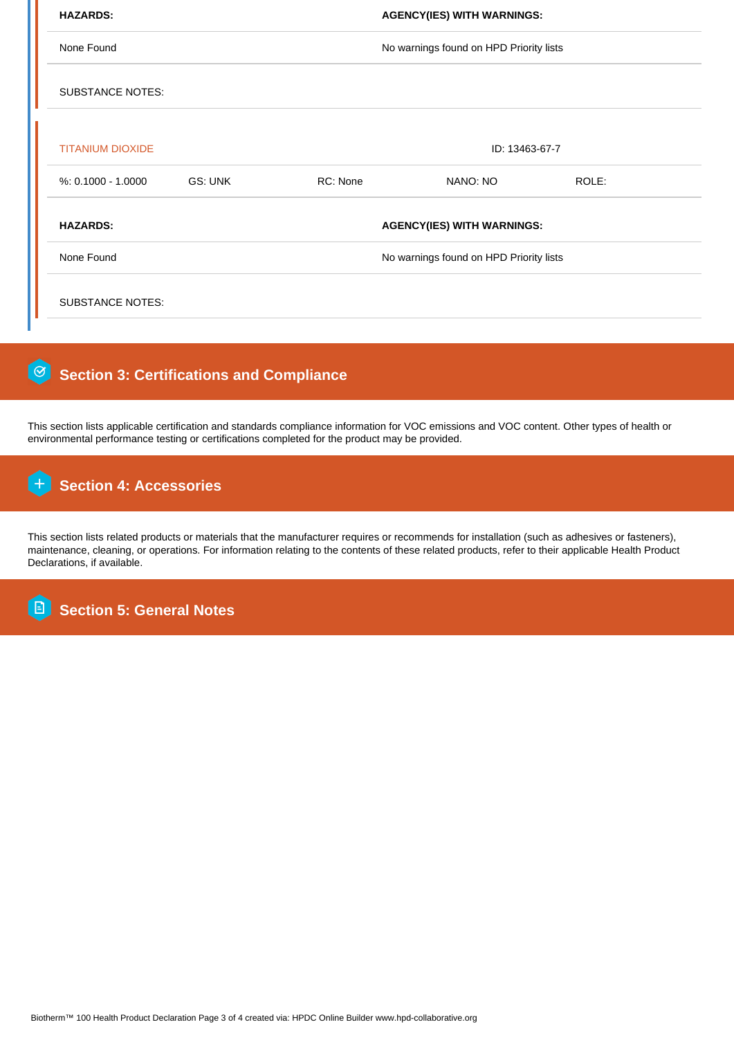| None Found              |         |                                         | No warnings found on HPD Priority lists |       |  |
|-------------------------|---------|-----------------------------------------|-----------------------------------------|-------|--|
|                         |         |                                         |                                         |       |  |
| <b>SUBSTANCE NOTES:</b> |         |                                         |                                         |       |  |
|                         |         |                                         |                                         |       |  |
| <b>TITANIUM DIOXIDE</b> |         | ID: 13463-67-7                          |                                         |       |  |
| $% 0.1000 - 1.0000$     | GS: UNK | RC: None                                | NANO: NO                                | ROLE: |  |
| <b>HAZARDS:</b>         |         | <b>AGENCY(IES) WITH WARNINGS:</b>       |                                         |       |  |
| None Found              |         | No warnings found on HPD Priority lists |                                         |       |  |

#### $\lceil \Theta \rceil$  **Section 3: Certifications and Compliance**

This section lists applicable certification and standards compliance information for VOC emissions and VOC content. Other types of health or environmental performance testing or certifications completed for the product may be provided.

#### $\mathsf{H}$  **Section 4: Accessories**

This section lists related products or materials that the manufacturer requires or recommends for installation (such as adhesives or fasteners), maintenance, cleaning, or operations. For information relating to the contents of these related products, refer to their applicable Health Product Declarations, if available.

 **Section 5: General Notes E**